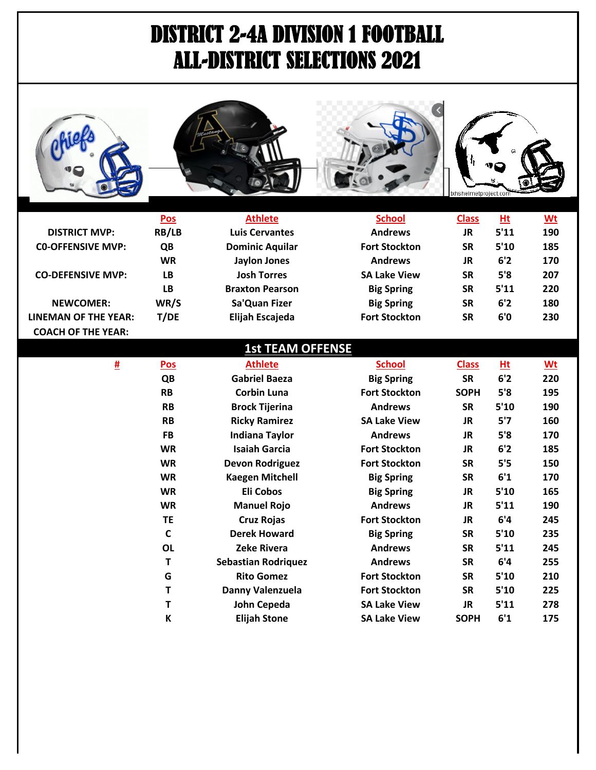## DISTRICT 2-4A DIVISION 1 FOOTBALL ALL-DISTRICT SELECTIONS 2021



|                             | <u>Pos</u> | <b>Athlete</b>         | <b>School</b>        | <b>Class</b> | $Ht$ | <u>Wt</u> |
|-----------------------------|------------|------------------------|----------------------|--------------|------|-----------|
| <b>DISTRICT MVP:</b>        | RB/LB      | <b>Luis Cervantes</b>  | <b>Andrews</b>       | JR           | 5'11 | 190       |
| <b>CO-OFFENSIVE MVP:</b>    | QB         | <b>Dominic Aquilar</b> | <b>Fort Stockton</b> | <b>SR</b>    | 5'10 | 185       |
|                             | <b>WR</b>  | <b>Jaylon Jones</b>    | <b>Andrews</b>       | JR           | 6'2  | 170       |
| <b>CO-DEFENSIVE MVP:</b>    | LВ         | <b>Josh Torres</b>     | <b>SA Lake View</b>  | <b>SR</b>    | 5'8  | 207       |
|                             | LB         | <b>Braxton Pearson</b> | <b>Big Spring</b>    | <b>SR</b>    | 5'11 | 220       |
| <b>NEWCOMER:</b>            | WR/S       | Sa'Quan Fizer          | <b>Big Spring</b>    | <b>SR</b>    | 6'2  | 180       |
| <b>LINEMAN OF THE YEAR:</b> | T/DE       | Elijah Escajeda        | <b>Fort Stockton</b> | <b>SR</b>    | 6'0  | 230       |
| <b>COACH OF THE YEAR:</b>   |            |                        |                      |              |      |           |

|          |              | <b>1st TEAM OFFENSE</b>    |                      |              |      |      |
|----------|--------------|----------------------------|----------------------|--------------|------|------|
| <u>#</u> | <b>Pos</b>   | <b>Athlete</b>             | <b>School</b>        | <b>Class</b> | Ht   | $Wt$ |
|          | QB           | <b>Gabriel Baeza</b>       | <b>Big Spring</b>    | <b>SR</b>    | 6'2  | 220  |
|          | <b>RB</b>    | <b>Corbin Luna</b>         | <b>Fort Stockton</b> | <b>SOPH</b>  | 5'8  | 195  |
|          | <b>RB</b>    | <b>Brock Tijerina</b>      | <b>Andrews</b>       | <b>SR</b>    | 5'10 | 190  |
|          | <b>RB</b>    | <b>Ricky Ramirez</b>       | <b>SA Lake View</b>  | JR.          | 5'7  | 160  |
|          | <b>FB</b>    | <b>Indiana Taylor</b>      | <b>Andrews</b>       | JR.          | 5'8  | 170  |
|          | <b>WR</b>    | <b>Isaiah Garcia</b>       | <b>Fort Stockton</b> | JR.          | 6'2  | 185  |
|          | <b>WR</b>    | <b>Devon Rodriguez</b>     | <b>Fort Stockton</b> | <b>SR</b>    | 5'5  | 150  |
|          | <b>WR</b>    | <b>Kaegen Mitchell</b>     | <b>Big Spring</b>    | <b>SR</b>    | 6'1  | 170  |
|          | <b>WR</b>    | <b>Eli Cobos</b>           | <b>Big Spring</b>    | <b>JR</b>    | 5'10 | 165  |
|          | <b>WR</b>    | <b>Manuel Rojo</b>         | <b>Andrews</b>       | JR.          | 5'11 | 190  |
|          | <b>TE</b>    | <b>Cruz Rojas</b>          | <b>Fort Stockton</b> | JR.          | 6'4  | 245  |
|          | $\mathsf{C}$ | <b>Derek Howard</b>        | <b>Big Spring</b>    | <b>SR</b>    | 5'10 | 235  |
|          | <b>OL</b>    | <b>Zeke Rivera</b>         | <b>Andrews</b>       | <b>SR</b>    | 5'11 | 245  |
|          | Τ            | <b>Sebastian Rodriquez</b> | <b>Andrews</b>       | <b>SR</b>    | 6'4  | 255  |
|          | G            | <b>Rito Gomez</b>          | <b>Fort Stockton</b> | <b>SR</b>    | 5'10 | 210  |
|          | Τ            | Danny Valenzuela           | <b>Fort Stockton</b> | <b>SR</b>    | 5'10 | 225  |
|          | T            | John Cepeda                | <b>SA Lake View</b>  | <b>JR</b>    | 5'11 | 278  |
|          | K            | <b>Elijah Stone</b>        | <b>SA Lake View</b>  | <b>SOPH</b>  | 6'1  | 175  |
|          |              |                            |                      |              |      |      |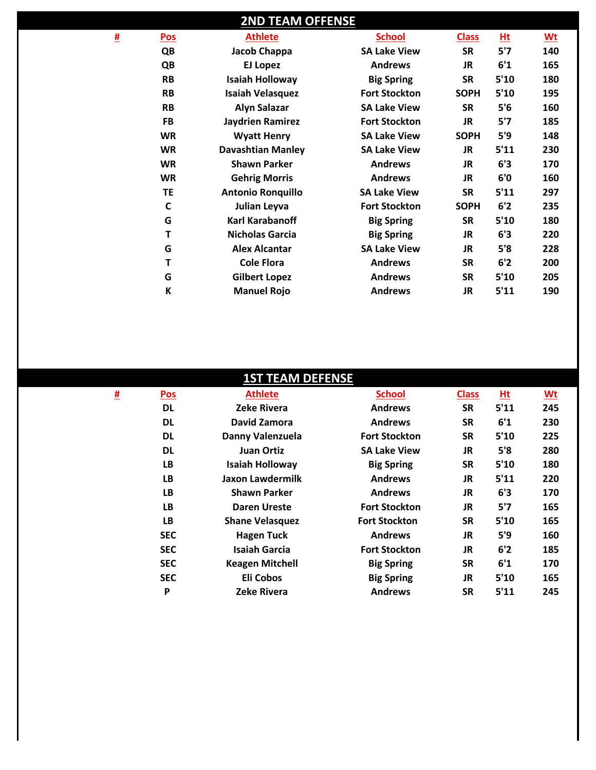|          |              | <b>2ND TEAM OFFENSE</b>  |                      |              |      |           |
|----------|--------------|--------------------------|----------------------|--------------|------|-----------|
| <u>#</u> | Pos          | <b>Athlete</b>           | <b>School</b>        | <b>Class</b> | Ht   | <u>Wt</u> |
|          | QB           | Jacob Chappa             | <b>SA Lake View</b>  | <b>SR</b>    | 5'7  | 140       |
|          | QB           | <b>EJ Lopez</b>          | <b>Andrews</b>       | <b>JR</b>    | 6'1  | 165       |
|          | <b>RB</b>    | <b>Isaiah Holloway</b>   | <b>Big Spring</b>    | <b>SR</b>    | 5'10 | 180       |
|          | <b>RB</b>    | <b>Isaiah Velasquez</b>  | <b>Fort Stockton</b> | <b>SOPH</b>  | 5'10 | 195       |
|          | <b>RB</b>    | <b>Alyn Salazar</b>      | <b>SA Lake View</b>  | <b>SR</b>    | 5'6  | 160       |
|          | <b>FB</b>    | Jaydrien Ramirez         | <b>Fort Stockton</b> | <b>JR</b>    | 5'7  | 185       |
|          | <b>WR</b>    | <b>Wyatt Henry</b>       | <b>SA Lake View</b>  | <b>SOPH</b>  | 5'9  | 148       |
|          | <b>WR</b>    | <b>Davashtian Manley</b> | <b>SA Lake View</b>  | <b>JR</b>    | 5'11 | 230       |
|          | <b>WR</b>    | <b>Shawn Parker</b>      | <b>Andrews</b>       | JR           | 6'3  | 170       |
|          | <b>WR</b>    | <b>Gehrig Morris</b>     | <b>Andrews</b>       | <b>JR</b>    | 6'0  | 160       |
|          | <b>TE</b>    | <b>Antonio Ronquillo</b> | <b>SA Lake View</b>  | <b>SR</b>    | 5'11 | 297       |
|          | $\mathsf{C}$ | Julian Leyva             | <b>Fort Stockton</b> | <b>SOPH</b>  | 6'2  | 235       |
|          | G            | Karl Karabanoff          | <b>Big Spring</b>    | <b>SR</b>    | 5'10 | 180       |
|          | Τ            | <b>Nicholas Garcia</b>   | <b>Big Spring</b>    | <b>JR</b>    | 6'3  | 220       |
|          | G            | <b>Alex Alcantar</b>     | <b>SA Lake View</b>  | <b>JR</b>    | 5'8  | 228       |
|          | Τ            | <b>Cole Flora</b>        | <b>Andrews</b>       | <b>SR</b>    | 6'2  | 200       |
|          | G            | <b>Gilbert Lopez</b>     | <b>Andrews</b>       | <b>SR</b>    | 5'10 | 205       |
|          | K            | <b>Manuel Rojo</b>       | <b>Andrews</b>       | <b>JR</b>    | 5'11 | 190       |

|   |            | <b>1ST TEAM DEFENSE</b> |                      |              |      |                           |  |
|---|------------|-------------------------|----------------------|--------------|------|---------------------------|--|
| 亜 | Pos        | <b>Athlete</b>          | <b>School</b>        | <b>Class</b> | Ht   | $\underline{\mathsf{wt}}$ |  |
|   | <b>DL</b>  | <b>Zeke Rivera</b>      | <b>Andrews</b>       | <b>SR</b>    | 5'11 | 245                       |  |
|   | <b>DL</b>  | David Zamora            | <b>Andrews</b>       | <b>SR</b>    | 6'1  | 230                       |  |
|   | <b>DL</b>  | Danny Valenzuela        | <b>Fort Stockton</b> | <b>SR</b>    | 5'10 | 225                       |  |
|   | DL         | Juan Ortiz              | <b>SA Lake View</b>  | JR.          | 5'8  | 280                       |  |
|   | LB         | <b>Isaiah Holloway</b>  | <b>Big Spring</b>    | <b>SR</b>    | 5'10 | 180                       |  |
|   | LB         | Jaxon Lawdermilk        | <b>Andrews</b>       | <b>JR</b>    | 5'11 | 220                       |  |
|   | LB         | <b>Shawn Parker</b>     | <b>Andrews</b>       | <b>JR</b>    | 6'3  | 170                       |  |
|   | LB         | <b>Daren Ureste</b>     | <b>Fort Stockton</b> | JR.          | 5'7  | 165                       |  |
|   | LB         | <b>Shane Velasquez</b>  | <b>Fort Stockton</b> | <b>SR</b>    | 5'10 | 165                       |  |
|   | <b>SEC</b> | <b>Hagen Tuck</b>       | <b>Andrews</b>       | <b>JR</b>    | 5'9  | 160                       |  |
|   | <b>SEC</b> | <b>Isaiah Garcia</b>    | <b>Fort Stockton</b> | <b>JR</b>    | 6'2  | 185                       |  |
|   | <b>SEC</b> | <b>Keagen Mitchell</b>  | <b>Big Spring</b>    | <b>SR</b>    | 6'1  | 170                       |  |
|   | <b>SEC</b> | Eli Cobos               | <b>Big Spring</b>    | JR.          | 5'10 | 165                       |  |
|   | P          | <b>Zeke Rivera</b>      | <b>Andrews</b>       | <b>SR</b>    | 5'11 | 245                       |  |
|   |            |                         |                      |              |      |                           |  |